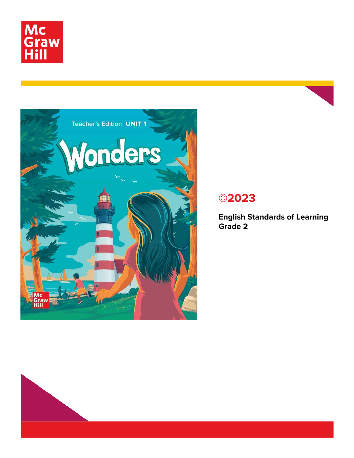



## **©2023**

**English Standards of Learning Grade 2**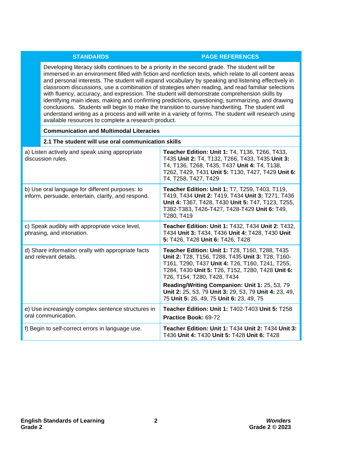## **STANDARDS PAGE REFERENCES**

Developing literacy skills continues to be a priority in the second grade. The student will be immersed in an environment filled with fiction and nonfiction texts, which relate to all content areas and personal interests. The student will expand vocabulary by speaking and listening effectively in classroom discussions, use a combination of strategies when reading, and read familiar selections with fluency, accuracy, and expression. The student will demonstrate comprehension skills by identifying main ideas, making and confirming predictions, questioning, summarizing, and drawing conclusions. Students will begin to make the transition to cursive handwriting. The student will understand writing as a process and will write in a variety of forms. The student will research using available resources to complete a research product.

| <b>Communication and Multimodal Literacies</b>                                                        |                                                                                                                                                                                                                                          |
|-------------------------------------------------------------------------------------------------------|------------------------------------------------------------------------------------------------------------------------------------------------------------------------------------------------------------------------------------------|
| 2.1 The student will use oral communication skills                                                    |                                                                                                                                                                                                                                          |
| a) Listen actively and speak using appropriate<br>discussion rules.                                   | <b>Teacher Edition: Unit 1: T4, T136, T266, T433,</b><br>T435 Unit 2: T4, T132, T266, T433, T435 Unit 3:<br>T4, T136, T268, T435, T437 Unit 4: T4, T138,<br>T262, T429, T431 Unit 5: T130, T427, T429 Unit 6:<br>T4, T258, T427, T429    |
| b) Use oral language for different purposes: to<br>inform, persuade, entertain, clarify, and respond. | Teacher Edition: Unit 1: T7, T259, T403, T119,<br>T419, T434 Unit 2: T419, T434 Unit 3: T271, T436<br>Unit 4: T367, T428, T430 Unit 5: T47, T123, T255,<br>T382-T383, T426-T427, T428-T429 Unit 6: T49,<br>T280, T419                    |
| c) Speak audibly with appropriate voice level,<br>phrasing, and intonation.                           | Teacher Edition: Unit 1: T432, T434 Unit 2: T432,<br>T434 Unit 3: T434, T436 Unit 4: T428, T430 Unit<br>5: T426, T428 Unit 6: T426, T428                                                                                                 |
| d) Share information orally with appropriate facts<br>and relevant details.                           | Teacher Edition: Unit 1: T28, T160, T288, T435<br>Unit 2: T28, T156, T288, T435 Unit 3: T28, T160-<br>T161, T290, T437 Unit 4: T26, T160, T241, T255,<br>T284, T430 Unit 5: T26, T152, T280, T428 Unit 6:<br>T26, T154, T280, T428, T434 |
|                                                                                                       | Reading/Writing Companion: Unit 1: 25, 53, 79<br>Unit 2: 25, 53, 79 Unit 3: 29, 53, 79 Unit 4: 23, 49,<br>75 Unit 5: 26, 49, 75 Unit 6: 23, 49, 75                                                                                       |
| e) Use increasingly complex sentence structures in<br>oral communication.                             | Teacher Edition: Unit 1: T402-T403 Unit 5: T258<br>Practice Book: 69-72                                                                                                                                                                  |
| f) Begin to self-correct errors in language use.                                                      | <b>Teacher Edition: Unit 1: T434 Unit 2: T434 Unit 3:</b><br>T436 Unit 4: T430 Unit 5: T428 Unit 6: T428                                                                                                                                 |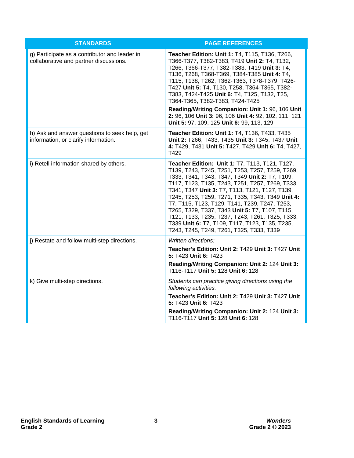| <b>STANDARDS</b>                                                                        | <b>PAGE REFERENCES</b>                                                                                                                                                                                                                                                                                                                                                                                                                                                                                                                                           |
|-----------------------------------------------------------------------------------------|------------------------------------------------------------------------------------------------------------------------------------------------------------------------------------------------------------------------------------------------------------------------------------------------------------------------------------------------------------------------------------------------------------------------------------------------------------------------------------------------------------------------------------------------------------------|
| g) Participate as a contributor and leader in<br>collaborative and partner discussions. | Teacher Edition: Unit 1: T4, T115, T136, T266,<br>T366-T377, T382-T383, T419 Unit 2: T4, T132,<br>T266, T366-T377, T382-T383, T419 Unit 3: T4,<br>T136, T268, T368-T369, T384-T385 Unit 4: T4,<br>T115, T138, T262, T362-T363, T378-T379, T426-<br>T427 Unit 5: T4, T130, T258, T364-T365, T382-<br>T383, T424-T425 Unit 6: T4, T125, T132, T25,<br>T364-T365, T382-T383, T424-T425<br>Reading/Writing Companion: Unit 1: 96, 106 Unit<br>2: 96, 106 Unit 3: 96, 106 Unit 4: 92, 102, 111, 121<br>Unit 5: 97, 109, 125 Unit 6: 99, 113, 129                      |
| h) Ask and answer questions to seek help, get<br>information, or clarify information.   | <b>Teacher Edition: Unit 1: T4, T136, T433, T435</b><br>Unit 2: T266, T433, T435 Unit 3: T345, T437 Unit<br>4: T429, T431 Unit 5: T427, T429 Unit 6: T4, T427,<br>T429                                                                                                                                                                                                                                                                                                                                                                                           |
| i) Retell information shared by others.                                                 | Teacher Edition: Unit 1: T7, T113, T121, T127,<br>T139, T243, T245, T251, T253, T257, T259, T269,<br>T333, T341, T343, T347, T349 Unit 2: T7, T109,<br>T117, T123, T135, T243, T251, T257, T269, T333,<br>T341, T347 Unit 3: T7, T113, T121, T127, T139,<br>T245, T253, T259, T271, T335, T343, T349 Unit 4:<br>T7, T115, T123, T129, T141, T239, T247, T253,<br>T265, T329, T337, T343 Unit 5: T7, T107, T115,<br>T121, T133, T235, T237, T243, T261, T325, T333,<br>T339 Unit 6: T7, T109, T117, T123, T135, T235,<br>T243, T245, T249, T261, T325, T333, T339 |
| j) Restate and follow multi-step directions.                                            | Written directions:<br>Teacher's Edition: Unit 2: T429 Unit 3: T427 Unit<br>5: T423 Unit 6: T423<br>Reading/Writing Companion: Unit 2: 124 Unit 3:<br>T116-T117 Unit 5: 128 Unit 6: 128                                                                                                                                                                                                                                                                                                                                                                          |
| k) Give multi-step directions.                                                          | Students can practice giving directions using the<br>following activities:<br>Teacher's Edition: Unit 2: T429 Unit 3: T427 Unit<br>5: T423 Unit 6: T423<br>Reading/Writing Companion: Unit 2: 124 Unit 3:<br>T116-T117 Unit 5: 128 Unit 6: 128                                                                                                                                                                                                                                                                                                                   |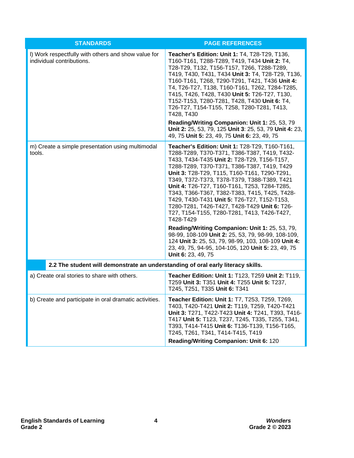| <b>STANDARDS</b>                                                                 | <b>PAGE REFERENCES</b>                                                                                                                                                                                                                                                                                                                                                                                                                                                                                                                                                                                                                                                                                                                                                                             |  |
|----------------------------------------------------------------------------------|----------------------------------------------------------------------------------------------------------------------------------------------------------------------------------------------------------------------------------------------------------------------------------------------------------------------------------------------------------------------------------------------------------------------------------------------------------------------------------------------------------------------------------------------------------------------------------------------------------------------------------------------------------------------------------------------------------------------------------------------------------------------------------------------------|--|
| I) Work respectfully with others and show value for<br>individual contributions. | Teacher's Edition: Unit 1: T4, T28-T29, T136,<br>T160-T161, T288-T289, T419, T434 Unit 2: T4,<br>T28-T29, T132, T156-T157, T266, T288-T289,<br>T419, T430, T431, T434 Unit 3: T4, T28-T29, T136,<br>T160-T161, T268, T290-T291, T421, T436 Unit 4:<br>T4, T26-T27, T138, T160-T161, T262, T284-T285,<br>T415, T426, T428, T430 Unit 5: T26-T27, T130,<br>T152-T153, T280-T281, T428, T430 Unit 6: T4,<br>T26-T27, T154-T155, T258, T280-T281, T413,<br>T428, T430<br>Reading/Writing Companion: Unit 1: 25, 53, 79<br>Unit 2: 25, 53, 79, 125 Unit 3: 25, 53, 79 Unit 4: 23,<br>49, 75 Unit 5: 23, 49, 75 Unit 6: 23, 49, 75                                                                                                                                                                       |  |
| m) Create a simple presentation using multimodal<br>tools.                       | Teacher's Edition: Unit 1: T28-T29, T160-T161,<br>T288-T289, T370-T371, T386-T387, T419, T432-<br>T433, T434-T435 Unit 2: T28-T29, T156-T157,<br>T288-T289, T370-T371, T386-T387, T419, T429<br>Unit 3: T28-T29, T115, T160-T161, T290-T291,<br>T349, T372-T373, T378-T379, T388-T389, T421<br>Unit 4: T26-T27, T160-T161, T253, T284-T285,<br>T343, T366-T367, T382-T383, T415, T425, T428-<br>T429, T430-T431 Unit 5: T26-T27, T152-T153,<br>T280-T281, T426-T427, T428-T429 Unit 6: T26-<br>T27, T154-T155, T280-T281, T413, T426-T427,<br>T428-T429<br>Reading/Writing Companion: Unit 1: 25, 53, 79,<br>98-99, 108-109 Unit 2: 25, 53, 79, 98-99, 108-109,<br>124 Unit 3: 25, 53, 79, 98-99, 103, 108-109 Unit 4:<br>23, 49, 75, 94-95, 104-105, 120 Unit 5: 23, 49, 75<br>Unit 6: 23, 49, 75 |  |
| 2.2 The student will demonstrate an understanding of oral early literacy skills. |                                                                                                                                                                                                                                                                                                                                                                                                                                                                                                                                                                                                                                                                                                                                                                                                    |  |
| a) Create oral stories to share with others.                                     | Teacher Edition: Unit 1: T123, T259 Unit 2: T119,<br>T259 Unit 3: T351 Unit 4: T255 Unit 5: T237,<br>T245, T251, T335 Unit 6: T341                                                                                                                                                                                                                                                                                                                                                                                                                                                                                                                                                                                                                                                                 |  |
| b) Create and participate in oral dramatic activities.                           | Teacher Edition: Unit 1: T7, T253, T259, T269,<br>T403, T420-T421 Unit 2: T119, T259, T420-T421<br>Unit 3: T271, T422-T423 Unit 4: T241, T393, T416-<br>T417 Unit 5: T123, T237, T245, T335, T255, T341,<br>T393, T414-T415 Unit 6: T136-T139, T156-T165,<br>T245, T261, T341, T414-T415, T419<br>Reading/Writing Companion: Unit 6: 120                                                                                                                                                                                                                                                                                                                                                                                                                                                           |  |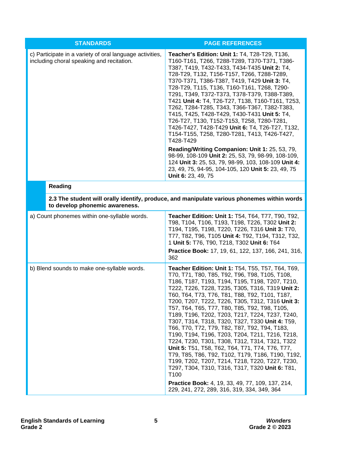| <b>STANDARDS</b>                                                                                      | <b>PAGE REFERENCES</b>                                                                                                                                                                                                                                                                                                                                                                                                                                                                                                                                                                                                                                                                                                                                                                                                                                                                                                                                             |
|-------------------------------------------------------------------------------------------------------|--------------------------------------------------------------------------------------------------------------------------------------------------------------------------------------------------------------------------------------------------------------------------------------------------------------------------------------------------------------------------------------------------------------------------------------------------------------------------------------------------------------------------------------------------------------------------------------------------------------------------------------------------------------------------------------------------------------------------------------------------------------------------------------------------------------------------------------------------------------------------------------------------------------------------------------------------------------------|
| c) Participate in a variety of oral language activities,<br>including choral speaking and recitation. | Teacher's Edition: Unit 1: T4, T28-T29, T136,<br>T160-T161, T266, T288-T289, T370-T371, T386-<br>T387, T419, T432-T433, T434-T435 Unit 2: T4,<br>T28-T29, T132, T156-T157, T266, T288-T289,<br>T370-T371, T386-T387, T419, T429 Unit 3: T4,<br>T28-T29, T115, T136, T160-T161, T268, T290-<br>T291, T349, T372-T373, T378-T379, T388-T389,<br>T421 Unit 4: T4, T26-T27, T138, T160-T161, T253,<br>T262, T284-T285, T343, T366-T367, T382-T383,<br>T415, T425, T428-T429, T430-T431 Unit 5: T4,<br>T26-T27, T130, T152-T153, T258, T280-T281,<br>T426-T427, T428-T429 Unit 6: T4, T26-T27, T132,<br>T154-T155, T258, T280-T281, T413, T426-T427,<br>T428-T429                                                                                                                                                                                                                                                                                                       |
|                                                                                                       | Reading/Writing Companion: Unit 1: 25, 53, 79,<br>98-99, 108-109 Unit 2: 25, 53, 79, 98-99, 108-109,<br>124 Unit 3: 25, 53, 79, 98-99, 103, 108-109 Unit 4:<br>23, 49, 75, 94-95, 104-105, 120 Unit 5: 23, 49, 75<br>Unit 6: 23, 49, 75                                                                                                                                                                                                                                                                                                                                                                                                                                                                                                                                                                                                                                                                                                                            |
| <b>Reading</b>                                                                                        |                                                                                                                                                                                                                                                                                                                                                                                                                                                                                                                                                                                                                                                                                                                                                                                                                                                                                                                                                                    |
| to develop phonemic awareness.                                                                        | 2.3 The student will orally identify, produce, and manipulate various phonemes within words                                                                                                                                                                                                                                                                                                                                                                                                                                                                                                                                                                                                                                                                                                                                                                                                                                                                        |
| a) Count phonemes within one-syllable words.                                                          | Teacher Edition: Unit 1: T54, T64, T77, T90, T92,<br>T98, T104, T106, T193, T198, T226, T302 Unit 2:<br>T194, T195, T198, T220, T226, T316 Unit 3: T70,<br>T77, T82, T96, T105 Unit 4: T92, T194, T312, T32,<br>1 Unit 5: T76, T90, T218, T302 Unit 6: T64<br>Practice Book: 17, 19, 61, 122, 137, 166, 241, 316,<br>362                                                                                                                                                                                                                                                                                                                                                                                                                                                                                                                                                                                                                                           |
| b) Blend sounds to make one-syllable words.                                                           | Teacher Edition: Unit 1: T54, T55, T57, T64, T69,<br>T70, T71, T80, T85, T92, T96, T98, T105, T108,<br>T186, T187, T193, T194, T195, T198, T207, T210,<br>T222, T226, T228, T235, T305, T316, T319 Unit 2:<br>T60, T64, T73, T76, T81, T88, T92, T101, T187,<br>T200, T207, T222, T226, T305, T312, T316 Unit 3:<br>T57, T64, T65, T77, T80, T85, T92, T98, T105,<br>T189, T196, T202, T203, T217, T224, T237, T240,<br>T307, T314, T318, T320, T327, T330 Unit 4: T59,<br>T66, T70, T72, T79, T82, T87, T92, T94, T183,<br>T190, T194, T196, T203, T204, T211, T216, T218,<br>T224, T230, T301, T308, T312, T314, T321, T322<br>Unit 5: T51, T58, T62, T64, T71, T74, T76, T77,<br>T79, T85, T86, T92, T102, T179, T186, T190, T192,<br>T199, T202, T207, T214, T218, T220, T227, T230,<br>T297, T304, T310, T316, T317, T320 Unit 6: T81,<br>T <sub>100</sub><br>Practice Book: 4, 19, 33, 49, 77, 109, 137, 214,<br>229, 241, 272, 289, 316, 319, 334, 349, 364 |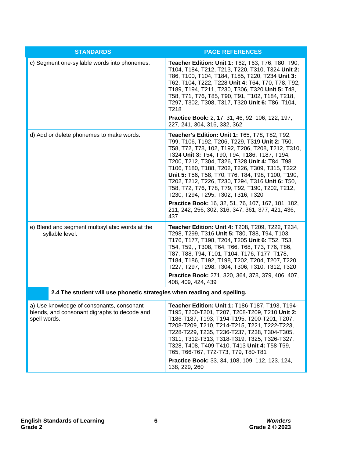| <b>STANDARDS</b>                                                                                          | <b>PAGE REFERENCES</b>                                                                                                                                                                                                                                                                                                                                                                                                                                                                                                                                                                                                        |  |
|-----------------------------------------------------------------------------------------------------------|-------------------------------------------------------------------------------------------------------------------------------------------------------------------------------------------------------------------------------------------------------------------------------------------------------------------------------------------------------------------------------------------------------------------------------------------------------------------------------------------------------------------------------------------------------------------------------------------------------------------------------|--|
| c) Segment one-syllable words into phonemes.                                                              | <b>Teacher Edition: Unit 1: T62, T63, T76, T80, T90,</b><br>T104, T184, T212, T213, T220, T310, T324 Unit 2:<br>T86, T100, T104, T184, T185, T220, T234 Unit 3:<br>T62, T104, T222, T228 Unit 4: T64, T70, T78, T92,<br>T189, T194, T211, T230, T306, T320 Unit 5: T48,<br>T58, T71, T76, T85, T90, T91, T102, T184, T218,<br>T297, T302, T308, T317, T320 Unit 6: T86, T104,<br>T218<br><b>Practice Book:</b> 2, 17, 31, 46, 92, 106, 122, 197,                                                                                                                                                                              |  |
|                                                                                                           | 227, 241, 304, 316, 332, 362                                                                                                                                                                                                                                                                                                                                                                                                                                                                                                                                                                                                  |  |
| d) Add or delete phonemes to make words.                                                                  | Teacher's Edition: Unit 1: T65, T78, T82, T92,<br>T99, T106, T192, T206, T229, T319 Unit 2: T50,<br>T58, T72, T78, 102, T192, T206, T208, T212, T310,<br>T324 Unit 3: T54, T90, T94, T186, T187, T194,<br>T200, T212, T304, T326, T328 Unit 4: T84, T98,<br>T106, T180, T188, T202, T226, T309, T315, T322<br>Unit 5: T56, T58, T70, T76, T84, T98, T100, T190,<br>T202, T212, T226, T230, T294, T316 Unit 6: T50,<br>T58, T72, T76, T78, T79, T92, T190, T202, T212,<br>T230, T294, T295, T302, T316, T320<br>Practice Book: 16, 32, 51, 76, 107, 167, 181, 182,<br>211, 242, 256, 302, 316, 347, 361, 377, 421, 436,<br>437 |  |
| e) Blend and segment multisyllabic words at the<br>syllable level.                                        | <b>Teacher Edition: Unit 4: T208, T209, T222, T234,</b><br>T298, T299, T316 Unit 5: T80, T88, T94, T103,<br>T176, T177, T198, T204, T205 Unit 6: T52, T53,<br>T54, T59, , T308, T64, T66, T68, T73, T76, T86,<br>T87, T88, T94, T101, T104, T176, T177, T178,<br>T184, T186, T192, T198, T202, T204, T207, T220,<br>T227, T297, T298, T304, T306, T310, T312, T320<br>Practice Book: 271, 320, 364, 378, 379, 406, 407,<br>408, 409, 424, 439                                                                                                                                                                                 |  |
| 2.4 The student will use phonetic strategies when reading and spelling.                                   |                                                                                                                                                                                                                                                                                                                                                                                                                                                                                                                                                                                                                               |  |
| a) Use knowledge of consonants, consonant<br>blends, and consonant digraphs to decode and<br>spell words. | Teacher Edition: Unit 1: T186-T187, T193, T194-<br>T195, T200-T201, T207, T208-T209, T210 Unit 2:<br>T186-T187, T193, T194-T195, T200-T201, T207,<br>T208-T209, T210, T214-T215, T221, T222-T223,<br>T228-T229, T235, T236-T237, T238, T304-T305,<br>T311, T312-T313, T318-T319, T325, T326-T327,<br>T328, T408, T409-T410, T413 Unit 4: T58-T59,<br>T65, T66-T67, T72-T73, T79, T80-T81<br>Practice Book: 33, 34, 108, 109, 112, 123, 124,<br>138, 229, 260                                                                                                                                                                  |  |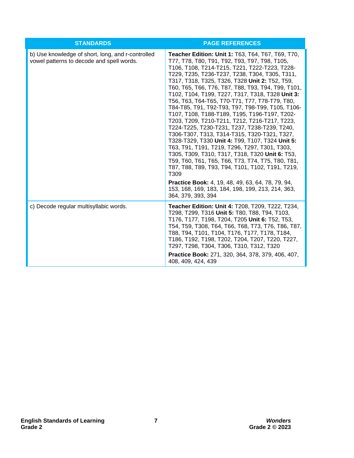| <b>STANDARDS</b>                                                                               | <b>PAGE REFERENCES</b>                                                                                                                                                                                                                                                                                                                                                                                                                                                                                                                                                                                                                                                                                                                                                                                                                                                                                                                                                                                                                                                                               |
|------------------------------------------------------------------------------------------------|------------------------------------------------------------------------------------------------------------------------------------------------------------------------------------------------------------------------------------------------------------------------------------------------------------------------------------------------------------------------------------------------------------------------------------------------------------------------------------------------------------------------------------------------------------------------------------------------------------------------------------------------------------------------------------------------------------------------------------------------------------------------------------------------------------------------------------------------------------------------------------------------------------------------------------------------------------------------------------------------------------------------------------------------------------------------------------------------------|
| b) Use knowledge of short, long, and r-controlled<br>vowel patterns to decode and spell words. | Teacher Edition: Unit 1: T63, T64, T67, T69, T70,<br>T77, T78, T80, T91, T92, T93, T97, T98, T105,<br>T106, T108, T214-T215, T221, T222-T223, T228-<br>T229, T235, T236-T237, T238, T304, T305, T311,<br>T317, T318, T325, T326, T328 Unit 2: T52, T59,<br>T60, T65, T66, T76, T87, T88, T93, T94, T99, T101,<br>T102, T104, T199, T227, T317, T318, T328 Unit 3:<br>T56, T63, T64-T65, T70-T71, T77, T78-T79, T80,<br>T84-T85, T91, T92-T93, T97, T98-T99, T105, T106-<br>T107, T108, T188-T189, T195, T196-T197, T202-<br>T203, T209, T210-T211, T212, T216-T217, T223,<br>T224-T225, T230-T231, T237, T238-T239, T240,<br>T306-T307, T313, T314-T315, T320-T321, T327,<br>T328-T329, T330 Unit 4: T99, T107, T324 Unit 5:<br>T63, T91, T191, T219, T296, T297, T301, T303,<br>T305, T309, T310, T317, T318, T320 Unit 6: T53,<br>T59, T60, T61, T65, T66, T73, T74, T75, T80, T81,<br>T87, T88, T89, T93, T94, T101, T102, T191, T219,<br>T <sub>309</sub><br><b>Practice Book:</b> 4, 19, 48, 49, 63, 64, 78, 79, 94,<br>153, 168, 169, 183, 184, 198, 199, 213, 214, 363,<br>364, 379, 393, 394 |
| c) Decode regular multisyllabic words.                                                         | Teacher Edition: Unit 4: T208, T209, T222, T234,<br>T298, T299, T316 Unit 5: T80, T88, T94, T103,<br>T176, T177, T198, T204, T205 Unit 6: T52, T53,<br>T54, T59, T308, T64, T66, T68, T73, T76, T86, T87,<br>T88, T94, T101, T104, T176, T177, T178, T184,<br>T186, T192, T198, T202, T204, T207, T220, T227,<br>T297, T298, T304, T306, T310, T312, T320<br>Practice Book: 271, 320, 364, 378, 379, 406, 407,<br>408, 409, 424, 439                                                                                                                                                                                                                                                                                                                                                                                                                                                                                                                                                                                                                                                                 |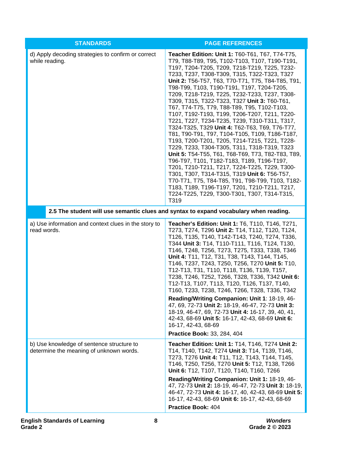| <b>STANDARDS</b>                                                                     | <b>PAGE REFERENCES</b>                                                                                                                                                                                                                                                                                                                                                                                                                                                                                                                                                                                                                                                                                                                                                                                                                                                                                                                                                                                                                                                                                                        |
|--------------------------------------------------------------------------------------|-------------------------------------------------------------------------------------------------------------------------------------------------------------------------------------------------------------------------------------------------------------------------------------------------------------------------------------------------------------------------------------------------------------------------------------------------------------------------------------------------------------------------------------------------------------------------------------------------------------------------------------------------------------------------------------------------------------------------------------------------------------------------------------------------------------------------------------------------------------------------------------------------------------------------------------------------------------------------------------------------------------------------------------------------------------------------------------------------------------------------------|
| d) Apply decoding strategies to confirm or correct<br>while reading.                 | Teacher Edition: Unit 1: T60-T61, T67, T74-T75,<br>T79, T88-T89, T95, T102-T103, T107, T190-T191,<br>T197, T204-T205, T209, T218-T219, T225, T232-<br>T233, T237, T308-T309, T315, T322-T323, T327<br>Unit 2: T56-T57, T63, T70-T71, T75, T84-T85, T91,<br>T98-T99, T103, T190-T191, T197, T204-T205,<br>T209, T218-T219, T225, T232-T233, T237, T308-<br>T309, T315, T322-T323, T327 Unit 3: T60-T61,<br>T67, T74-T75, T79, T88-T89, T95, T102-T103,<br>T107, T192-T193, T199, T206-T207, T211, T220-<br>T221, T227, T234-T235, T239, T310-T311, T317,<br>T324-T325, T329 Unit 4: T62-T63, T69, T76-T77,<br>T81, T90-T91, T97, T104-T105, T109, T186-T187,<br>T193, T200-T201, T205, T214-T215, T221, T228-<br>T229, T233, T304-T305, T311, T318-T319, T323<br>Unit 5: T54-T55, T61, T68-T69, T73, T82-T83, T89,<br>T96-T97, T101, T182-T183, T189, T196-T197,<br>T201, T210-T211, T217, T224-T225, T229, T300-<br>T301, T307, T314-T315, T319 Unit 6: T56-T57,<br>T70-T71, T75, T84-T85, T91, T98-T99, T103, T182-<br>T183, T189, T196-T197, T201, T210-T211, T217,<br>T224-T225, T229, T300-T301, T307, T314-T315,<br>T319 |
|                                                                                      | 2.5 The student will use semantic clues and syntax to expand vocabulary when reading.                                                                                                                                                                                                                                                                                                                                                                                                                                                                                                                                                                                                                                                                                                                                                                                                                                                                                                                                                                                                                                         |
| a) Use information and context clues in the story to<br>read words.                  | Teacher's Edition: Unit 1: T6, T110, T146, T271,<br>T273, T274, T296 Unit 2: T14, T112, T120, T124,<br>T126, T135, T140, T142-T143, T240, T274, T336,<br>T344 Unit 3: T14, T110-T111, T116, T124, T130,<br>T146, T248, T256, T273, T275, T333, T338, T346<br>Unit 4: T11, T12, T31, T38, T143, T144, T145,<br>T146, T237, T243, T250, T256, T270 Unit 5: T10,<br>T12-T13, T31, T110, T118, T136, T139, T157,<br>T238, T246, T252, T266, T328, T336, T342 Unit 6:<br>T12-T13, T107, T113, T120, T126, T137, T140,<br>T160, T233, T238, T246, T266, T328, T336, T342<br>Reading/Writing Companion: Unit 1: 18-19, 46-<br>47, 69, 72-73 Unit 2: 18-19, 46-47, 72-73 Unit 3:<br>18-19, 46-47, 69, 72-73 Unit 4: 16-17, 39, 40, 41,<br>42-43, 68-69 Unit 5: 16-17, 42-43, 68-69 Unit 6:<br>16-17, 42-43, 68-69<br>Practice Book: 33, 284, 404                                                                                                                                                                                                                                                                                      |
| b) Use knowledge of sentence structure to<br>determine the meaning of unknown words. | Teacher Edition: Unit 1: T14, T146, T274 Unit 2:<br>T14, T140, T142, T274 Unit 3: T14, T139, T146,<br>T273, T276 Unit 4: T11, T12, T143, T144, T145,<br>T146, T250, T256, T270 Unit 5: T12, T138, T266<br>Unit 6: T12, T107, T120, T140, T160, T266<br>Reading/Writing Companion: Unit 1: 18-19, 46-<br>47, 72-73 Unit 2: 18-19, 46-47, 72-73 Unit 3: 18-19,<br>46-47, 72-73 Unit 4: 16-17, 40, 42-43, 68-69 Unit 5:<br>16-17, 42-43, 68-69 Unit 6: 16-17, 42-43, 68-69<br>Practice Book: 404                                                                                                                                                                                                                                                                                                                                                                                                                                                                                                                                                                                                                                 |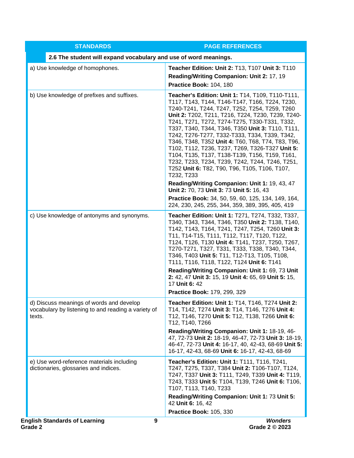| <b>STANDARDS</b>                                                                                          | <b>PAGE REFERENCES</b>                                                                                                                                                                                                                                                                                                                                                                                                                                                                                                                                                                                                                                                                      |
|-----------------------------------------------------------------------------------------------------------|---------------------------------------------------------------------------------------------------------------------------------------------------------------------------------------------------------------------------------------------------------------------------------------------------------------------------------------------------------------------------------------------------------------------------------------------------------------------------------------------------------------------------------------------------------------------------------------------------------------------------------------------------------------------------------------------|
| 2.6 The student will expand vocabulary and use of word meanings.                                          |                                                                                                                                                                                                                                                                                                                                                                                                                                                                                                                                                                                                                                                                                             |
| a) Use knowledge of homophones.                                                                           | Teacher Edition: Unit 2: T13, T107 Unit 3: T110<br>Reading/Writing Companion: Unit 2: 17, 19<br>Practice Book: 104, 180                                                                                                                                                                                                                                                                                                                                                                                                                                                                                                                                                                     |
| b) Use knowledge of prefixes and suffixes.                                                                | Teacher's Edition: Unit 1: T14, T109, T110-T111,<br>T117, T143, T144, T146-T147, T166, T224, T230,<br>T240-T241, T244, T247, T252, T254, T259, T260<br>Unit 2: T202, T211, T216, T224, T230, T239, T240-<br>T241, T271, T272, T274-T275, T330-T331, T332,<br>T337, T340, T344, T346, T350 Unit 3: T110, T111,<br>T242, T276-T277, T332-T333, T334, T339, T342,<br>T346, T348, T352 Unit 4: T60, T68, T74, T83, T96,<br>T102, T112, T236, T237, T269, T326-T327 Unit 5:<br>T104, T135, T137, T138-T139, T156, T159, T161,<br>T232, T233, T234, T239, T242, T244, T246, T251,<br>T252 Unit 6: T82, T90, T96, T105, T106, T107,<br>T232, T233<br>Reading/Writing Companion: Unit 1: 19, 43, 47 |
|                                                                                                           | Unit 2: 70, 73 Unit 3: 73 Unit 5: 16, 43<br>Practice Book: 34, 50, 59, 60, 125, 134, 149, 164,<br>224, 230, 245, 255, 344, 359, 389, 395, 405, 419                                                                                                                                                                                                                                                                                                                                                                                                                                                                                                                                          |
| c) Use knowledge of antonyms and synonyms.                                                                | Teacher Edition: Unit 1: T271, T274, T332, T337,<br>T340, T343, T344, T346, T350 Unit 2: T138, T140,<br>T142, T143, T164, T241, T247, T254, T260 Unit 3:<br>T11, T14-T15, T111, T112, T117, T120, T122,<br>T124, T126, T130 Unit 4: T141, T237, T250, T267,<br>T270-T271, T327, T331, T333, T338, T340, T344,<br>T346, T403 Unit 5: T11, T12-T13, T105, T108,<br>T111, T116, T118, T122, T124 Unit 6: T141<br>Reading/Writing Companion: Unit 1: 69, 73 Unit<br>2: 42, 47 Unit 3: 15, 19 Unit 4: 65, 69 Unit 5: 15,<br>17 Unit 6: 42                                                                                                                                                        |
|                                                                                                           | Practice Book: 179, 299, 329                                                                                                                                                                                                                                                                                                                                                                                                                                                                                                                                                                                                                                                                |
| d) Discuss meanings of words and develop<br>vocabulary by listening to and reading a variety of<br>texts. | Teacher Edition: Unit 1: T14, T146, T274 Unit 2:<br>T14, T142, T274 Unit 3: T14, T146, T276 Unit 4:<br>T12, T146, T270 Unit 5: T12, T138, T266 Unit 6:<br>T12, T140, T266<br>Reading/Writing Companion: Unit 1: 18-19, 46-<br>47, 72-73 Unit 2: 18-19, 46-47, 72-73 Unit 3: 18-19,<br>46-47, 72-73 Unit 4: 16-17, 40, 42-43, 68-69 Unit 5:<br>16-17, 42-43, 68-69 Unit 6: 16-17, 42-43, 68-69                                                                                                                                                                                                                                                                                               |
| e) Use word-reference materials including<br>dictionaries, glossaries and indices.                        | Teacher's Edition: Unit 1: T111, T116, T241,<br>T247, T275, T337, T384 Unit 2: T106-T107, T124,<br>T247, T337 Unit 3: T111, T249, T339 Unit 4: T119,<br>T243, T333 Unit 5: T104, T139, T246 Unit 6: T106,<br>T107, T113, T140, T233                                                                                                                                                                                                                                                                                                                                                                                                                                                         |
|                                                                                                           | Reading/Writing Companion: Unit 1: 73 Unit 5:<br>42 Unit 6: 16, 42                                                                                                                                                                                                                                                                                                                                                                                                                                                                                                                                                                                                                          |
|                                                                                                           | Practice Book: 105, 330                                                                                                                                                                                                                                                                                                                                                                                                                                                                                                                                                                                                                                                                     |
| <b>English Standards of Learning</b><br>9<br>Grade 2                                                      | <b>Wonders</b><br>Grade 2 © 2023                                                                                                                                                                                                                                                                                                                                                                                                                                                                                                                                                                                                                                                            |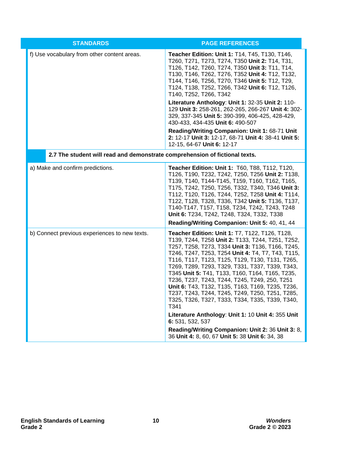| <b>STANDARDS</b>                                                            | <b>PAGE REFERENCES</b>                                                                                                                                                                                                                                                                                                                                                                                                                                                                                                                                                                         |
|-----------------------------------------------------------------------------|------------------------------------------------------------------------------------------------------------------------------------------------------------------------------------------------------------------------------------------------------------------------------------------------------------------------------------------------------------------------------------------------------------------------------------------------------------------------------------------------------------------------------------------------------------------------------------------------|
| f) Use vocabulary from other content areas.                                 | Teacher Edition: Unit 1: T14, T45, T130, T146,<br>T260, T271, T273, T274, T350 Unit 2: T14, T31,<br>T126, T142, T260, T274, T350 Unit 3: T11, T14,<br>T130, T146, T262, T276, T352 Unit 4: T12, T132,<br>T144, T146, T256, T270, T346 Unit 5: T12, T29,<br>T124, T138, T252, T266, T342 Unit 6: T12, T126,<br>T140, T252, T266, T342                                                                                                                                                                                                                                                           |
|                                                                             | Literature Anthology: Unit 1: 32-35 Unit 2: 110-<br>129 Unit 3: 258-261, 262-265, 266-267 Unit 4: 302-<br>329, 337-345 Unit 5: 390-399, 406-425, 428-429,<br>430-433, 434-435 Unit 6: 490-507                                                                                                                                                                                                                                                                                                                                                                                                  |
|                                                                             | Reading/Writing Companion: Unit 1: 68-71 Unit<br>2: 12-17 Unit 3: 12-17, 68-71 Unit 4: 38-41 Unit 5:<br>12-15, 64-67 Unit 6: 12-17                                                                                                                                                                                                                                                                                                                                                                                                                                                             |
| 2.7 The student will read and demonstrate comprehension of fictional texts. |                                                                                                                                                                                                                                                                                                                                                                                                                                                                                                                                                                                                |
| a) Make and confirm predictions.                                            | Teacher Edition: Unit 1: T60, T88, T112, T120,<br>T126, T190, T232, T242, T250, T256 Unit 2: T138,<br>T139, T140, T144-T145, T159, T160, T162, T165,<br>T175, T242, T250, T256, T332, T340, T346 Unit 3:<br>T112, T120, T126, T244, T252, T258 Unit 4: T114,<br>T122, T128, T328, T336, T342 Unit 5: T136, T137,<br>T140-T147, T157, T158, T234, T242, T243, T248<br>Unit 6: T234, T242, T248, T324, T332, T338                                                                                                                                                                                |
|                                                                             | Reading/Writing Companion: Unit 5: 40, 41, 44                                                                                                                                                                                                                                                                                                                                                                                                                                                                                                                                                  |
| b) Connect previous experiences to new texts.                               | <b>Teacher Edition: Unit 1: T7, T122, T126, T128,</b><br>T139, T244, T258 Unit 2: T133, T244, T251, T252,<br>T257, T258, T273, T334 Unit 3: T136, T166, T245,<br>T246, T247, T253, T254 Unit 4: T4, T7, T43, T115,<br>T116, T117, T123, T125, T129, T130, T131, T265,<br>T269, T289, T293, T329, T331, T337, T339, T343,<br>T345 Unit 5: T41, T133, T160, T164, T165, T235,<br>T236, T237, T243, T244, T245, T249, 250, T251<br>Unit 6: T43, T132, T135, T163, T169, T235, T236,<br>T237, T243, T244, T245, T249, T250, T251, T285,<br>T325, T326, T327, T333, T334, T335, T339, T340,<br>T341 |
|                                                                             | Literature Anthology: Unit 1: 10 Unit 4: 355 Unit<br>6: 531, 532, 537                                                                                                                                                                                                                                                                                                                                                                                                                                                                                                                          |
|                                                                             | Reading/Writing Companion: Unit 2: 36 Unit 3: 8,<br>36 Unit 4: 8, 60, 67 Unit 5: 38 Unit 6: 34, 38                                                                                                                                                                                                                                                                                                                                                                                                                                                                                             |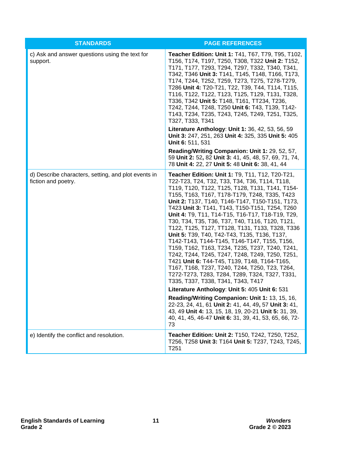| <b>STANDARDS</b>                                                           | <b>PAGE REFERENCES</b>                                                                                                                                                                                                                                                                                                                                                                                                                                                                                                                                                                                                                                                                                                                                                                                                                                                                                               |
|----------------------------------------------------------------------------|----------------------------------------------------------------------------------------------------------------------------------------------------------------------------------------------------------------------------------------------------------------------------------------------------------------------------------------------------------------------------------------------------------------------------------------------------------------------------------------------------------------------------------------------------------------------------------------------------------------------------------------------------------------------------------------------------------------------------------------------------------------------------------------------------------------------------------------------------------------------------------------------------------------------|
| c) Ask and answer questions using the text for<br>support.                 | Teacher Edition: Unit 1: T41, T67, T79, T95, T102,<br>T156, T174, T197, T250, T308, T322 Unit 2: T152,<br>T171, T177, T293, T294, T297, T332, T340, T341,<br>T342, T346 Unit 3: T141, T145, T148, T166, T173,<br>T174, T244, T252, T259, T273, T275, T278-T279,<br>T286 Unit 4: T20-T21, T22, T39, T44, T114, T115,<br>T116, T122, T122, T123, T125, T129, T131, T328,<br>T336, T342 Unit 5: T148, T161, TT234, T236,<br>T242, T244, T248, T250 Unit 6: T43, T139, T142-<br>T143, T234, T235, T243, T245, T249, T251, T325,<br>T327, T333, T341                                                                                                                                                                                                                                                                                                                                                                      |
|                                                                            | Literature Anthology: Unit 1: 36, 42, 53, 56, 59<br>Unit 3: 247, 251, 263 Unit 4: 325, 335 Unit 5: 405<br>Unit 6: 511, 531                                                                                                                                                                                                                                                                                                                                                                                                                                                                                                                                                                                                                                                                                                                                                                                           |
|                                                                            | Reading/Writing Companion: Unit 1: 29, 52, 57,<br>59 Unit 2: 52, 82 Unit 3: 41, 45, 48, 57, 69, 71, 74,<br>78 Unit 4: 22, 27 Unit 5: 48 Unit 6: 38, 41, 44                                                                                                                                                                                                                                                                                                                                                                                                                                                                                                                                                                                                                                                                                                                                                           |
| d) Describe characters, setting, and plot events in<br>fiction and poetry. | Teacher Edition: Unit 1: T9, T11, T12, T20-T21,<br>T22-T23, T24, T32, T33, T34, T36, T114, T118,<br>T119, T120, T122, T125, T128, T131, T141, T154-<br>T155, T163, T167, T178-T179, T248, T335, T423<br>Unit 2: T137, T140, T146-T147, T150-T151, T173,<br>T423 Unit 3: T141, T143, T150-T151, T254, T260<br>Unit 4: T9, T11, T14-T15, T16-T17, T18-T19, T29,<br>T30, T34, T35, T36, T37, T40, T116, T120, T121,<br>T122, T125, T127, TT128, T131, T133, T328, T336<br>Unit 5: T39, T40, T42-T43, T135, T136, T137,<br>T142-T143, T144-T145, T146-T147, T155, T156,<br>T159, T162, T163, T234, T235, T237, T240, T241,<br>T242, T244, T245, T247, T248, T249, T250, T251,<br>T421 Unit 6: T44-T45, T139, T148, T164-T165,<br>T167, T168, T237, T240, T244, T250, T23, T264,<br>T272-T273, T283, T284, T289, T324, T327, T331,<br>T335, T337, T338, T341, T343, T417<br>Literature Anthology: Unit 5: 405 Unit 6: 531 |
|                                                                            | Reading/Writing Companion: Unit 1: 13, 15, 16,<br>22-23, 24, 41, 61 Unit 2: 41, 44, 49, 57 Unit 3: 41,<br>43, 49 Unit 4: 13, 15, 18, 19, 20-21 Unit 5: 31, 39,<br>40, 41, 45, 46-47 Unit 6: 31, 39, 41, 53, 65, 66, 72-<br>73                                                                                                                                                                                                                                                                                                                                                                                                                                                                                                                                                                                                                                                                                        |
| e) Identify the conflict and resolution.                                   | Teacher Edition: Unit 2: T150, T242, T250, T252,<br>T256, T258 Unit 3: T164 Unit 5: T237, T243, T245,<br>T <sub>251</sub>                                                                                                                                                                                                                                                                                                                                                                                                                                                                                                                                                                                                                                                                                                                                                                                            |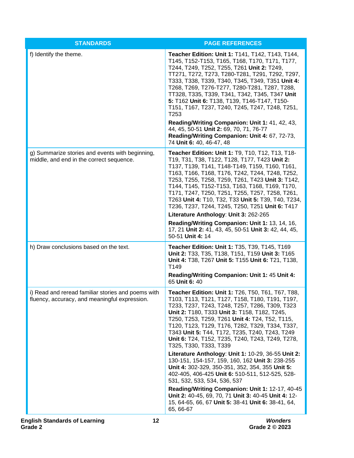| <b>STANDARDS</b>                                                                                    | <b>PAGE REFERENCES</b>                                                                                                                                                                                                                                                                                                                                                                                                                                                                                                                                                                                                                                                                                                                                                                                                                                                  |
|-----------------------------------------------------------------------------------------------------|-------------------------------------------------------------------------------------------------------------------------------------------------------------------------------------------------------------------------------------------------------------------------------------------------------------------------------------------------------------------------------------------------------------------------------------------------------------------------------------------------------------------------------------------------------------------------------------------------------------------------------------------------------------------------------------------------------------------------------------------------------------------------------------------------------------------------------------------------------------------------|
| f) Identify the theme.                                                                              | Teacher Edition: Unit 1: T141, T142, T143, T144,<br>T145, T152-T153, T165, T168, T170, T171, T177,<br>T244, T249, T252, T255, T261 Unit 2: T249,<br>TT271, T272, T273, T280-T281, T291, T292, T297,<br>T333, T338, T339, T340, T345, T349, T351 Unit 4:<br>T268, T269, T276-T277, T280-T281, T287, T288,<br>TT328, T335, T339, T341, T342, T345, T347 Unit<br>5: T162 Unit 6: T138, T139, T146-T147, T150-<br>T151, T167, T237, T240, T245, T247, T248, T251,<br>T <sub>253</sub><br>Reading/Writing Companion: Unit 1: 41, 42, 43,<br>44, 45, 50-51 Unit 2: 69, 70, 71, 76-77<br>Reading/Writing Companion: Unit 4: 67, 72-73,<br>74 Unit 6: 40, 46-47, 48                                                                                                                                                                                                             |
| g) Summarize stories and events with beginning,<br>middle, and end in the correct sequence.         | Teacher Edition: Unit 1: T9, T10, T12, T13, T18-<br>T19, T31, T38, T122, T128, T177, T423 Unit 2:<br>T137, T139, T141, T148-T149, T159, T160, T161,<br>T163, T166, T168, T176, T242, T244, T248, T252,<br>T253, T255, T258, T259, T261, T423 Unit 3: T142,<br>T144, T145, T152-T153, T163, T168, T169, T170,<br>T171, T247, T250, T251, T255, T257, T258, T261,<br>T263 Unit 4: T10, T32, T33 Unit 5: T39, T40, T234,<br>T236, T237, T244, T245, T250, T251 Unit 6: T417<br>Literature Anthology: Unit 3: 262-265<br>Reading/Writing Companion: Unit 1: 13, 14, 16,<br>17, 21 Unit 2: 41, 43, 45, 50-51 Unit 3: 42, 44, 45,<br>50-51 Unit 4: 14                                                                                                                                                                                                                         |
| h) Draw conclusions based on the text.                                                              | Teacher Edition: Unit 1: T35, T39, T145, T169<br>Unit 2: T33, T35, T138, T151, T159 Unit 3: T165<br>Unit 4: T38, T267 Unit 5: T155 Unit 6: T21, T138,<br>T149<br>Reading/Writing Companion: Unit 1: 45 Unit 4:<br>65 Unit 6: 40                                                                                                                                                                                                                                                                                                                                                                                                                                                                                                                                                                                                                                         |
| i) Read and reread familiar stories and poems with<br>fluency, accuracy, and meaningful expression. | Teacher Edition: Unit 1: T26, T50, T61, T67, T88,<br>T103, T113, T121, T127, T158, T180, T191, T197,<br>T233, T237, T243, T248, T257, T286, T309, T323<br>Unit 2: T180, T333 Unit 3: T158, T182, T245,<br>T250, T253, T259, T261 Unit 4: T24, T52, T115,<br>T120, T123, T129, T176, T282, T329, T334, T337,<br>T343 Unit 5: T44, T172, T235, T240, T243, T249<br>Unit 6: T24, T152, T235, T240, T243, T249, T278,<br>T325, T330, T333, T339<br>Literature Anthology: Unit 1: 10-29, 36-55 Unit 2:<br>130-151, 154-157, 159, 160, 162 Unit 3: 238-255<br>Unit 4: 302-329, 350-351, 352, 354, 355 Unit 5:<br>402-405, 406-425 Unit 6: 510-511, 512-525, 528-<br>531, 532, 533, 534, 536, 537<br>Reading/Writing Companion: Unit 1: 12-17, 40-45<br>Unit 2: 40-45, 69, 70, 71 Unit 3: 40-45 Unit 4: 12-<br>15, 64-65, 66, 67 Unit 5: 38-41 Unit 6: 38-41, 64,<br>65, 66-67 |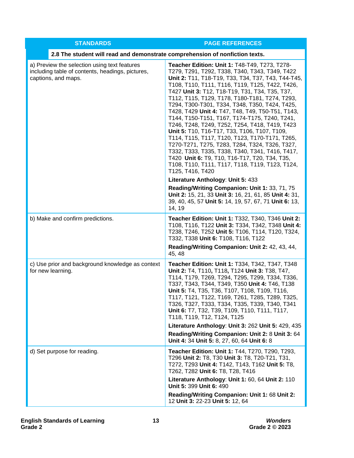| <b>STANDARDS</b>                                                                                                        | <b>PAGE REFERENCES</b>                                                                                                                                                                                                                                                                                                                                                                                                                                                                                                                                                                                                                                                                                                                                                                                                                                                                                                                                                                              |
|-------------------------------------------------------------------------------------------------------------------------|-----------------------------------------------------------------------------------------------------------------------------------------------------------------------------------------------------------------------------------------------------------------------------------------------------------------------------------------------------------------------------------------------------------------------------------------------------------------------------------------------------------------------------------------------------------------------------------------------------------------------------------------------------------------------------------------------------------------------------------------------------------------------------------------------------------------------------------------------------------------------------------------------------------------------------------------------------------------------------------------------------|
| 2.8 The student will read and demonstrate comprehension of nonfiction texts.                                            |                                                                                                                                                                                                                                                                                                                                                                                                                                                                                                                                                                                                                                                                                                                                                                                                                                                                                                                                                                                                     |
| a) Preview the selection using text features<br>including table of contents, headings, pictures,<br>captions, and maps. | Teacher Edition: Unit 1: T48-T49, T273, T278-<br>T279, T291, T292, T338, T340, T343, T349, T422<br>Unit 2: T11, T18-T19, T33, T34, T37, T43, T44-T45,<br>T108, T110, T111, T116, T119, T125, T422, T426,<br>T427 Unit 3: T12, T18-T19, T31, T34, T35, T37,<br>T112, T115, T129, T178, T180-T181, T274, T293,<br>T294, T300-T301, T334, T348, T350, T424, T425,<br>T428, T429 Unit 4: T47, T48, T49, T50-T51, T143,<br>T144, T150-T151, T167, T174-T175, T240, T241,<br>T246, T248, T249, T252, T254, T418, T419, T423<br>Unit 5: T10, T16-T17, T33, T106, T107, T109,<br>T114, T115, T117, T120, T123, T170-T171, T265,<br>T270-T271, T275, T283, T284, T324, T326, T327,<br>T332, T333, T335, T338, T340, T341, T416, T417,<br>T420 Unit 6: T9, T10, T16-T17, T20, T34, T35,<br>T108, T110, T111, T117, T118, T119, T123, T124,<br>T125, T416, T420<br>Literature Anthology: Unit 5: 433<br>Reading/Writing Companion: Unit 1: 33, 71, 75<br>Unit 2: 15, 21, 33 Unit 3: 16, 21, 61, 85 Unit 4: 31, |
|                                                                                                                         | 39, 40, 45, 57 Unit 5: 14, 19, 57, 67, 71 Unit 6: 13,<br>14, 19                                                                                                                                                                                                                                                                                                                                                                                                                                                                                                                                                                                                                                                                                                                                                                                                                                                                                                                                     |
| b) Make and confirm predictions.                                                                                        | Teacher Edition: Unit 1: T332, T340, T346 Unit 2:<br>T108, T116, T122 Unit 3: T334, T342, T348 Unit 4:<br>T238, T246, T252 Unit 5: T106, T114, T120, T324,<br>T332, T338 Unit 6: T108, T116, T122<br>Reading/Writing Companion: Unit 2: 42, 43, 44,<br>45, 48                                                                                                                                                                                                                                                                                                                                                                                                                                                                                                                                                                                                                                                                                                                                       |
| c) Use prior and background knowledge as context<br>for new learning.                                                   | Teacher Edition: Unit 1: T334, T342, T347, T348<br>Unit 2: T4, T110, T118, T124 Unit 3: T38, T47,<br>T114, T179, T269, T294, T295, T299, T334, T336,<br>T337, T343, T344, T349, T350 Unit 4: T46, T138<br>Unit 5: T4, T35, T36, T107, T108, T109, T116,<br>T117, T121, T122, T169, T261, T285, T289, T325,<br>T326, T327, T333, T334, T335, T339, T340, T341<br>Unit 6: T7, T32, T39, T109, T110, T111, T117,<br>T118, T119, T12, T124, T125<br>Literature Anthology: Unit 3: 262 Unit 5: 429, 435                                                                                                                                                                                                                                                                                                                                                                                                                                                                                                  |
|                                                                                                                         | Reading/Writing Companion: Unit 2: 8 Unit 3: 64<br>Unit 4: 34 Unit 5: 8, 27, 60, 64 Unit 6: 8                                                                                                                                                                                                                                                                                                                                                                                                                                                                                                                                                                                                                                                                                                                                                                                                                                                                                                       |
| d) Set purpose for reading.                                                                                             | <b>Teacher Edition: Unit 1: T44, T270, T290, T293,</b><br>T296 Unit 2: T8, T30 Unit 3: T8, T20-T21, T31,<br>T272, T293 Unit 4: T142, T143, T162 Unit 5: T8,<br>T262, T282 Unit 6: T8, T28, T416                                                                                                                                                                                                                                                                                                                                                                                                                                                                                                                                                                                                                                                                                                                                                                                                     |
|                                                                                                                         | Literature Anthology: Unit 1: 60, 64 Unit 2: 110<br>Unit 5: 399 Unit 6: 490                                                                                                                                                                                                                                                                                                                                                                                                                                                                                                                                                                                                                                                                                                                                                                                                                                                                                                                         |
|                                                                                                                         | Reading/Writing Companion: Unit 1: 68 Unit 2:<br>12 Unit 3: 22-23 Unit 5: 12, 64                                                                                                                                                                                                                                                                                                                                                                                                                                                                                                                                                                                                                                                                                                                                                                                                                                                                                                                    |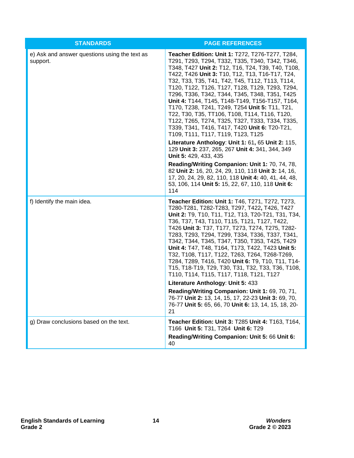| <b>STANDARDS</b>                                          | <b>PAGE REFERENCES</b>                                                                                                                                                                                                                                                                                                                                                                                                                                                                                                                                                                                                                                                                                                                                                                                                                                                                                                                                                                                                    |
|-----------------------------------------------------------|---------------------------------------------------------------------------------------------------------------------------------------------------------------------------------------------------------------------------------------------------------------------------------------------------------------------------------------------------------------------------------------------------------------------------------------------------------------------------------------------------------------------------------------------------------------------------------------------------------------------------------------------------------------------------------------------------------------------------------------------------------------------------------------------------------------------------------------------------------------------------------------------------------------------------------------------------------------------------------------------------------------------------|
| e) Ask and answer questions using the text as<br>support. | Teacher Edition: Unit 1: T272, T276-T277, T284,<br>T291, T293, T294, T332, T335, T340, T342, T346,<br>T348, T427 Unit 2: T12, T16, T24, T39, T40, T108,<br>T422, T426 Unit 3: T10, T12, T13, T16-T17, T24,<br>T32, T33, T35, T41, T42, T45, T112, T113, T114,<br>T120, T122, T126, T127, T128, T129, T293, T294,<br>T296, T336, T342, T344, T345, T348, T351, T425<br>Unit 4: T144, T145, T148-T149, T156-T157, T164,<br>T170, T238, T241, T249, T254 Unit 5: T11, T21,<br>T22, T30, T35, TT106, T108, T114, T116, T120,<br>T122, T265, T274, T325, T327, T333, T334, T335,<br>T339, T341, T416, T417, T420 Unit 6: T20-T21,<br>T109, T111, T117, T119, T123, T125<br>Literature Anthology: Unit 1: 61, 65 Unit 2: 115,<br>129 Unit 3: 237, 265, 267 Unit 4: 341, 344, 349<br>Unit 5: 429, 433, 435<br>Reading/Writing Companion: Unit 1: 70, 74, 78,<br>82 Unit 2: 16, 20, 24, 29, 110, 118 Unit 3: 14, 16,<br>17, 20, 24, 29, 82, 110, 118 Unit 4: 40, 41, 44, 48,<br>53, 106, 114 Unit 5: 15, 22, 67, 110, 118 Unit 6: |
|                                                           | 114                                                                                                                                                                                                                                                                                                                                                                                                                                                                                                                                                                                                                                                                                                                                                                                                                                                                                                                                                                                                                       |
| f) Identify the main idea.                                | Teacher Edition: Unit 1: T46, T271, T272, T273,<br>T280-T281, T282-T283, T297, T422, T426, T427<br>Unit 2: T9, T10, T11, T12, T13, T20-T21, T31, T34,<br>T36, T37, T43, T110, T115, T121, T127, T422,<br>T426 Unit 3: T37, T177, T273, T274, T275, T282-<br>T283, T293, T294, T299, T334, T336, T337, T341,<br>T342, T344, T345, T347, T350, T353, T425, T429<br>Unit 4: T47, T48, T164, T173, T422, T423 Unit 5:<br>T32, T108, T117, T122, T263, T264, T268-T269,<br>T284, T289, T416, T420 Unit 6: T9, T10, T11, T14-<br>T15, T18-T19, T29, T30, T31, T32, T33, T36, T108,<br>T110, T114, T115, T117, T118, T121, T127<br>Literature Anthology: Unit 5: 433<br>Reading/Writing Companion: Unit 1: 69, 70, 71,<br>76-77 Unit 2: 13, 14, 15, 17, 22-23 Unit 3: 69, 70,                                                                                                                                                                                                                                                    |
|                                                           | 76-77 Unit 5: 65, 66, 70 Unit 6: 13, 14, 15, 18, 20-<br>21                                                                                                                                                                                                                                                                                                                                                                                                                                                                                                                                                                                                                                                                                                                                                                                                                                                                                                                                                                |
| g) Draw conclusions based on the text.                    | Teacher Edition: Unit 3: T285 Unit 4: T163, T164,<br>T166 Unit 5: T31, T264 Unit 6: T29<br>Reading/Writing Companion: Unit 5: 66 Unit 6:<br>40                                                                                                                                                                                                                                                                                                                                                                                                                                                                                                                                                                                                                                                                                                                                                                                                                                                                            |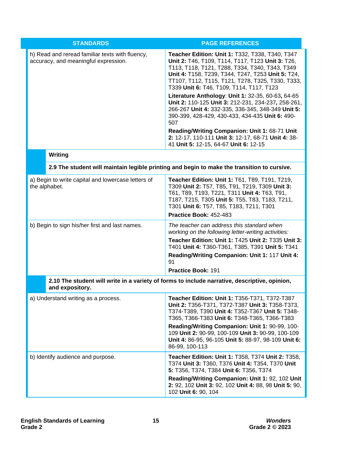| <b>STANDARDS</b>                                                                                                 | <b>PAGE REFERENCES</b>                                                                                                                                                                                                                                                                                                                                                                                                                                                                                                                                                                                                                                                               |  |
|------------------------------------------------------------------------------------------------------------------|--------------------------------------------------------------------------------------------------------------------------------------------------------------------------------------------------------------------------------------------------------------------------------------------------------------------------------------------------------------------------------------------------------------------------------------------------------------------------------------------------------------------------------------------------------------------------------------------------------------------------------------------------------------------------------------|--|
| h) Read and reread familiar texts with fluency,<br>accuracy, and meaningful expression.                          | Teacher Edition: Unit 1: T332, T338, T340, T347<br>Unit 2: T46, T109, T114, T117, T123 Unit 3: T26,<br>T113, T118, T121, T288, T334, T340, T343, T349<br>Unit 4: T158, T239, T344, T247, T253 Unit 5: T24,<br>TT107, T112, T115, T121, T278, T325, T330, T333,<br>T339 Unit 6: T46, T109, T114, T117, T123<br>Literature Anthology: Unit 1: 32-35, 60-63, 64-65<br>Unit 2: 110-125 Unit 3: 212-231, 234-237, 258-261,<br>266-267 Unit 4: 332-335, 336-345, 348-349 Unit 5:<br>390-399, 428-429, 430-433, 434-435 Unit 6: 490-<br>507<br>Reading/Writing Companion: Unit 1: 68-71 Unit<br>2: 12-17, 110-111 Unit 3: 12-17, 68-71 Unit 4: 38-<br>41 Unit 5: 12-15, 64-67 Unit 6: 12-15 |  |
| <b>Writing</b>                                                                                                   |                                                                                                                                                                                                                                                                                                                                                                                                                                                                                                                                                                                                                                                                                      |  |
| 2.9 The student will maintain legible printing and begin to make the transition to cursive.                      |                                                                                                                                                                                                                                                                                                                                                                                                                                                                                                                                                                                                                                                                                      |  |
| a) Begin to write capital and lowercase letters of<br>the alphabet.                                              | Teacher Edition: Unit 1: T61, T89, T191, T219,<br>T309 Unit 2: T57, T85, T91, T219, T309 Unit 3:<br>T61, T89, T193, T221, T311 Unit 4: T63, T91,<br>T187, T215, T305 Unit 5: T55, T83, T183, T211,<br>T301 Unit 6: T57, T85, T183, T211, T301<br>Practice Book: 452-483                                                                                                                                                                                                                                                                                                                                                                                                              |  |
| b) Begin to sign his/her first and last names.                                                                   | The teacher can address this standard when<br>working on the following letter-writing activities:<br>Teacher Edition: Unit 1: T425 Unit 2: T335 Unit 3:<br>T401 Unit 4: T360-T361, T385, T391 Unit 5: T341<br>Reading/Writing Companion: Unit 1: 117 Unit 4:<br>91<br><b>Practice Book: 191</b>                                                                                                                                                                                                                                                                                                                                                                                      |  |
| 2.10 The student will write in a variety of forms to include narrative, descriptive, opinion,<br>and expository. |                                                                                                                                                                                                                                                                                                                                                                                                                                                                                                                                                                                                                                                                                      |  |
| a) Understand writing as a process.                                                                              | Teacher Edition: Unit 1: T356-T371, T372-T387<br>Unit 2: T356-T371, T372-T387 Unit 3: T358-T373,<br>T374-T389, T390 Unit 4: T352-T367 Unit 5: T348-<br>T365, T366-T383 Unit 6: T348-T365, T366-T383<br>Reading/Writing Companion: Unit 1: 90-99, 100-<br>109 Unit 2: 90-99, 100-109 Unit 3: 90-99, 100-109<br>Unit 4: 86-95, 96-105 Unit 5: 88-97, 98-109 Unit 6:<br>86-99, 100-113                                                                                                                                                                                                                                                                                                  |  |
| b) Identify audience and purpose.                                                                                | Teacher Edition: Unit 1: T358, T374 Unit 2: T358,<br>T374 Unit 3: T360, T376 Unit 4: T354, T370 Unit<br>5: T356, T374, T384 Unit 6: T356, T374<br>Reading/Writing Companion: Unit 1: 92, 102 Unit<br>2: 92, 102 Unit 3: 92, 102 Unit 4: 88, 98 Unit 5: 90,<br>102 Unit 6: 90, 104                                                                                                                                                                                                                                                                                                                                                                                                    |  |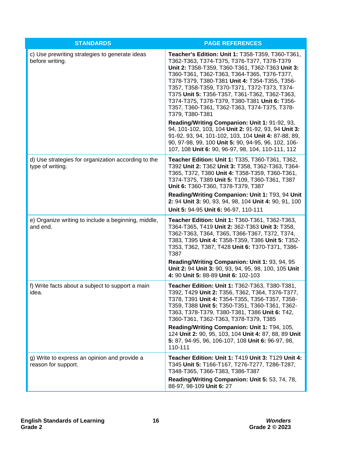| <b>STANDARDS</b>                                                    | <b>PAGE REFERENCES</b>                                                                                                                                                                                                                                                                                                                                                                                                                                                                                                                                                                                                                                                                       |
|---------------------------------------------------------------------|----------------------------------------------------------------------------------------------------------------------------------------------------------------------------------------------------------------------------------------------------------------------------------------------------------------------------------------------------------------------------------------------------------------------------------------------------------------------------------------------------------------------------------------------------------------------------------------------------------------------------------------------------------------------------------------------|
| c) Use prewriting strategies to generate ideas<br>before writing.   | Teacher's Edition: Unit 1: T358-T359, T360-T361,<br>T362-T363, T374-T375, T376-T377, T378-T379<br>Unit 2: T358-T359, T360-T361, T362-T363 Unit 3:<br>T360-T361, T362-T363, T364-T365, T376-T377,<br>T378-T379, T380-T381 Unit 4: T354-T355, T356-<br>T357, T358-T359, T370-T371, T372-T373, T374-<br>T375 Unit 5: T356-T357, T361-T362, T362-T363,<br>T374-T375, T378-T379, T380-T381 Unit 6: T356-<br>T357, T360-T361, T362-T363, T374-T375, T378-<br>T379, T380-T381<br>Reading/Writing Companion: Unit 1: 91-92, 93,<br>94, 101-102, 103, 104 Unit 2: 91-92, 93, 94 Unit 3:<br>91-92, 93, 94, 101-102, 103, 104 Unit 4: 87-88, 89,<br>90, 97-98, 99, 100 Unit 5: 90, 94-95, 96, 102, 106- |
| d) Use strategies for organization according to the                 | 107, 108 Unit 6: 90, 96-97, 98, 104, 110-111, 112<br>Teacher Edition: Unit 1: T335, T360-T361, T362,                                                                                                                                                                                                                                                                                                                                                                                                                                                                                                                                                                                         |
| type of writing.                                                    | T392 Unit 2: T362 Unit 3: T358, T362-T363, T364-<br>T365, T372, T380 Unit 4: T358-T359, T360-T361,<br>T374-T375, T389 Unit 5: T109, T360-T361, T387<br>Unit 6: T360-T360, T378-T379, T387                                                                                                                                                                                                                                                                                                                                                                                                                                                                                                    |
|                                                                     | Reading/Writing Companion: Unit 1: T93, 94 Unit<br>2: 94 Unit 3: 90, 93, 94, 98, 104 Unit 4: 90, 91, 100                                                                                                                                                                                                                                                                                                                                                                                                                                                                                                                                                                                     |
|                                                                     | Unit 5: 94-95 Unit 6: 96-97, 110-111                                                                                                                                                                                                                                                                                                                                                                                                                                                                                                                                                                                                                                                         |
| e) Organize writing to include a beginning, middle,<br>and end.     | Teacher Edition: Unit 1: T360-T361, T362-T363,<br>T364-T365, T419 Unit 2: 362-T363 Unit 3: T358,<br>T362-T363, T364, T365, T366-T367, T372, T374,<br>T383, T395 Unit 4: T358-T359, T386 Unit 5: T352-<br>T353, T362, T387, T428 Unit 6: T370-T371, T386-<br>T387                                                                                                                                                                                                                                                                                                                                                                                                                             |
|                                                                     | Reading/Writing Companion: Unit 1: 93, 94, 95<br>Unit 2: 94 Unit 3: 90, 93, 94, 95, 98, 100, 105 Unit<br>4: 90 Unit 5: 88-89 Unit 6: 102-103                                                                                                                                                                                                                                                                                                                                                                                                                                                                                                                                                 |
| f) Write facts about a subject to support a main<br>idea.           | Teacher Edition: Unit 1: T362-T363, T380-T381,<br>T392, T429 Unit 2: T356, T362, T364, T376-T377,<br>T378, T391 Unit 4: T354-T355, T356-T357, T358-<br>T359, T388 Unit 5: T350-T351, T360-T361, T362-<br>T363, T378-T379, T380-T381, T386 Unit 6: T42,<br>T360-T361, T362-T363, T378-T379, T385                                                                                                                                                                                                                                                                                                                                                                                              |
|                                                                     | Reading/Writing Companion: Unit 1: T94, 105,<br>124 Unit 2: 90, 95, 103, 104 Unit 4: 87, 88, 89 Unit<br>5: 87, 94-95, 96, 106-107, 108 Unit 6: 96-97, 98,<br>110-111                                                                                                                                                                                                                                                                                                                                                                                                                                                                                                                         |
| g) Write to express an opinion and provide a<br>reason for support. | Teacher Edition: Unit 1: T419 Unit 3: T129 Unit 4:<br>T345 Unit 5: T166-T167, T276-T277, T286-T287,<br>T348-T365, T366-T383, T386-T387                                                                                                                                                                                                                                                                                                                                                                                                                                                                                                                                                       |
|                                                                     | Reading/Writing Companion: Unit 5: 53, 74, 78,<br>88-97, 98-109 Unit 6: 27                                                                                                                                                                                                                                                                                                                                                                                                                                                                                                                                                                                                                   |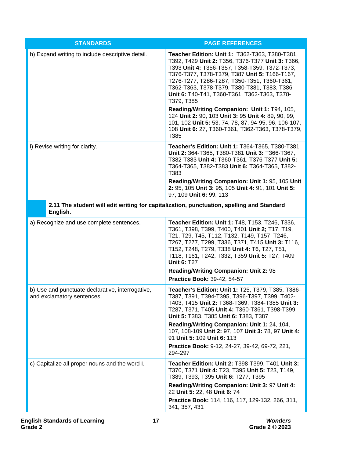| <b>STANDARDS</b>                                                                                      | <b>PAGE REFERENCES</b>                                                                                                                                                                                                                                                                                                                                                                                           |
|-------------------------------------------------------------------------------------------------------|------------------------------------------------------------------------------------------------------------------------------------------------------------------------------------------------------------------------------------------------------------------------------------------------------------------------------------------------------------------------------------------------------------------|
| h) Expand writing to include descriptive detail.                                                      | Teacher Edition: Unit 1: T362-T363, T380-T381,<br>T392, T429 Unit 2: T356, T376-T377 Unit 3: T366,<br>T393 Unit 4: T356-T357, T358-T359, T372-T373,<br>T376-T377, T378-T379, T387 Unit 5: T166-T167,<br>T276-T277, T286-T287, T350-T351, T360-T361,<br>T362-T363, T378-T379, T380-T381, T383, T386<br>Unit 6: T40-T41, T360-T361, T362-T363, T378-<br>T379, T385<br>Reading/Writing Companion: Unit 1: T94, 105, |
|                                                                                                       | 124 Unit 2: 90, 103 Unit 3: 95 Unit 4: 89, 90, 99,<br>101, 102 Unit 5: 53, 74, 78, 87, 94-95, 96, 106-107,<br>108 Unit 6: 27, T360-T361, T362-T363, T378-T379,<br>T385                                                                                                                                                                                                                                           |
| i) Revise writing for clarity.                                                                        | Teacher's Edition: Unit 1: T364-T365, T380-T381<br>Unit 2: 364-T365, T380-T381 Unit 3: T366-T367,<br>T382-T383 Unit 4: T360-T361, T376-T377 Unit 5:<br>T364-T365, T382-T383 Unit 6: T364-T365, T382-<br>T383<br>Reading/Writing Companion: Unit 1: 95, 105 Unit<br>2: 95, 105 Unit 3: 95, 105 Unit 4: 91, 101 Unit 5:                                                                                            |
|                                                                                                       | 97, 109 Unit 6: 99, 113                                                                                                                                                                                                                                                                                                                                                                                          |
| 2.11 The student will edit writing for capitalization, punctuation, spelling and Standard<br>English. |                                                                                                                                                                                                                                                                                                                                                                                                                  |
| a) Recognize and use complete sentences.                                                              | Teacher Edition: Unit 1: T48, T153, T246, T336,<br>T361, T398, T399, T400, T401 Unit 2; T17, T19,<br>T21, T29, T45, T112, T132, T149, T157, T246,<br>T267, T277, T299, T336, T371, T415 Unit 3: T116,<br>T152, T248, T279, T338 Unit 4: T6, T27, T51,<br>T118, T161, T242, T332, T359 Unit 5: T27, T409<br><b>Unit 6: T27</b>                                                                                    |
|                                                                                                       | <b>Reading/Writing Companion: Unit 2: 98</b><br>Practice Book: 39-42, 54-57                                                                                                                                                                                                                                                                                                                                      |
| b) Use and punctuate declarative, interrogative,<br>and exclamatory sentences.                        | Teacher's Edition: Unit 1: T25, T379, T385, T386-<br>T387, T391, T394-T395, T396-T397, T399, T402-<br>T403, T415 Unit 2: T368-T369, T384-T385 Unit 3:<br>T287, T371, T405 Unit 4: T360-T361, T398-T399<br>Unit 5: T383, T385 Unit 6: T383, T387                                                                                                                                                                  |
|                                                                                                       | Reading/Writing Companion: Unit 1: 24, 104,<br>107, 108-109 Unit 2: 97, 107 Unit 3: 78, 97 Unit 4:<br>91 Unit 5: 109 Unit 6: 113                                                                                                                                                                                                                                                                                 |
|                                                                                                       | Practice Book: 9-12, 24-27, 39-42, 69-72, 221,<br>294-297                                                                                                                                                                                                                                                                                                                                                        |
| c) Capitalize all proper nouns and the word I.                                                        | Teacher Edition: Unit 2: T398-T399, T401 Unit 3:<br>T370, T371 Unit 4: T23, T395 Unit 5: T23, T149,<br>T389, T393, T395 Unit 6: T277, T395                                                                                                                                                                                                                                                                       |
|                                                                                                       | Reading/Writing Companion: Unit 3: 97 Unit 4:<br>22 Unit 5: 22, 48 Unit 6: 74                                                                                                                                                                                                                                                                                                                                    |
|                                                                                                       | Practice Book: 114, 116, 117, 129-132, 266, 311,<br>341, 357, 431                                                                                                                                                                                                                                                                                                                                                |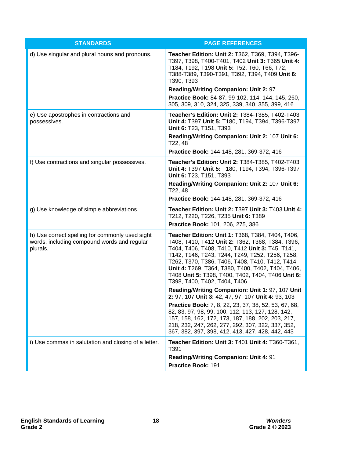| <b>STANDARDS</b>                                                                                           | <b>PAGE REFERENCES</b>                                                                                                                                                                                                                                                                                                                                                                                 |
|------------------------------------------------------------------------------------------------------------|--------------------------------------------------------------------------------------------------------------------------------------------------------------------------------------------------------------------------------------------------------------------------------------------------------------------------------------------------------------------------------------------------------|
| d) Use singular and plural nouns and pronouns.                                                             | Teacher Edition: Unit 2: T362, T369, T394, T396-<br>T397, T398, T400-T401, T402 Unit 3: T365 Unit 4:<br>T184, T192, T198 Unit 5: T52, T60, T66, T72,<br>T388-T389, T390-T391, T392, T394, T409 Unit 6:<br>T390, T393                                                                                                                                                                                   |
|                                                                                                            | Reading/Writing Companion: Unit 2: 97                                                                                                                                                                                                                                                                                                                                                                  |
|                                                                                                            | Practice Book: 84-87, 99-102, 114, 144, 145, 260,<br>305, 309, 310, 324, 325, 339, 340, 355, 399, 416                                                                                                                                                                                                                                                                                                  |
| e) Use apostrophes in contractions and<br>possessives.                                                     | Teacher's Edition: Unit 2: T384-T385, T402-T403<br>Unit 4: T397 Unit 5: T180, T194, T394, T396-T397<br>Unit 6: T23, T151, T393                                                                                                                                                                                                                                                                         |
|                                                                                                            | Reading/Writing Companion: Unit 2: 107 Unit 6:<br>T22, 48                                                                                                                                                                                                                                                                                                                                              |
|                                                                                                            | Practice Book: 144-148, 281, 369-372, 416                                                                                                                                                                                                                                                                                                                                                              |
| f) Use contractions and singular possessives.                                                              | Teacher's Edition: Unit 2: T384-T385, T402-T403<br>Unit 4: T397 Unit 5: T180, T194, T394, T396-T397<br>Unit 6: T23, T151, T393                                                                                                                                                                                                                                                                         |
|                                                                                                            | Reading/Writing Companion: Unit 2: 107 Unit 6:<br>T22, 48                                                                                                                                                                                                                                                                                                                                              |
|                                                                                                            | Practice Book: 144-148, 281, 369-372, 416                                                                                                                                                                                                                                                                                                                                                              |
| g) Use knowledge of simple abbreviations.                                                                  | Teacher Edition: Unit 2: T397 Unit 3: T403 Unit 4:<br>T212, T220, T226, T235 Unit 6: T389                                                                                                                                                                                                                                                                                                              |
|                                                                                                            | Practice Book: 101, 206, 275, 386                                                                                                                                                                                                                                                                                                                                                                      |
| h) Use correct spelling for commonly used sight<br>words, including compound words and regular<br>plurals. | Teacher Edition: Unit 1: T368, T384, T404, T406,<br>T408, T410, T412 Unit 2: T362, T368, T384, T396,<br>T404, T406, T408, T410, T412 Unit 3: T45, T141,<br>T142, T146, T243, T244, T249, T252, T256, T258,<br>T262, T370, T386, T406, T408, T410, T412, T414<br>Unit 4: T269, T364, T380, T400, T402, T404, T406,<br>T408 Unit 5: T398, T400, T402, T404, T406 Unit 6:<br>T398, T400, T402, T404, T406 |
|                                                                                                            | Reading/Writing Companion: Unit 1: 97, 107 Unit<br>2: 97, 107 Unit 3: 42, 47, 97, 107 Unit 4: 93, 103                                                                                                                                                                                                                                                                                                  |
|                                                                                                            | <b>Practice Book:</b> 7, 8, 22, 23, 37, 38, 52, 53, 67, 68,<br>82, 83, 97, 98, 99, 100, 112, 113, 127, 128, 142,<br>157, 158, 162, 172, 173, 187, 188, 202, 203, 217,<br>218, 232, 247, 262, 277, 292, 307, 322, 337, 352,<br>367, 382, 397, 398, 412, 413, 427, 428, 442, 443                                                                                                                         |
| i) Use commas in salutation and closing of a letter.                                                       | Teacher Edition: Unit 3: T401 Unit 4: T360-T361,<br>T391                                                                                                                                                                                                                                                                                                                                               |
|                                                                                                            | Reading/Writing Companion: Unit 4: 91                                                                                                                                                                                                                                                                                                                                                                  |
|                                                                                                            | Practice Book: 191                                                                                                                                                                                                                                                                                                                                                                                     |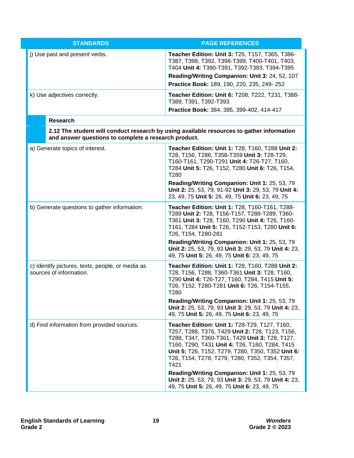|  | <b>STANDARDS</b>                                                            | <b>PAGE REFERENCES</b>                                                                                                                                                                                                                                                                                              |
|--|-----------------------------------------------------------------------------|---------------------------------------------------------------------------------------------------------------------------------------------------------------------------------------------------------------------------------------------------------------------------------------------------------------------|
|  | j) Use past and present verbs.                                              | Teacher Edition: Unit 3: T25, T157, T365, T386-<br>T387, T398, T392, T398-T399, T400-T401, T403,<br>T404 Unit 4: T390-T391, T392-T393, T394-T395                                                                                                                                                                    |
|  |                                                                             | Reading/Writing Companion: Unit 3: 24, 52, 107<br>Practice Book: 189, 190, 220, 235, 249-252                                                                                                                                                                                                                        |
|  | k) Use adjectives correctly.                                                | Teacher Edition: Unit 6: T208, T222, T231, T388-<br>T389, T391, T392-T393                                                                                                                                                                                                                                           |
|  |                                                                             | Practice Book: 384, 385, 399-402, 414-417                                                                                                                                                                                                                                                                           |
|  | <b>Research</b>                                                             |                                                                                                                                                                                                                                                                                                                     |
|  | and answer questions to complete a research product.                        | 2.12 The student will conduct research by using available resources to gather information                                                                                                                                                                                                                           |
|  | a) Generate topics of interest.                                             | Teacher Edition: Unit 1: T28, T160, T288 Unit 2:<br>T28, T156, T288, T358-T359 Unit 3: T28-T29,<br>T160-T161, T290-T291 Unit 4: T26-T27, T160,<br>T284 Unit 5: T26, T152, T280 Unit 6: T26, T154,<br>T280                                                                                                           |
|  |                                                                             | Reading/Writing Companion: Unit 1: 25, 53, 79<br>Unit 2: 25, 53, 79, 91-92 Unit 3: 29, 53, 79 Unit 4:<br>23, 49, 75 Unit 5: 26, 49, 75 Unit 6: 23, 49, 75                                                                                                                                                           |
|  | b) Generate questions to gather information.                                | Teacher Edition: Unit 1: T28, T160-T161, T288-<br>T289 Unit 2: T28, T156-T157, T288-T289, T360-<br>T361 Unit 3: T28, T160, T290 Unit 4: T26, T160-<br>T161, T284 Unit 5: T26, T152-T153, T280 Unit 6:<br>T26, T154, T280-281                                                                                        |
|  |                                                                             | Reading/Writing Companion: Unit 1: 25, 53, 79<br>Unit 2: 25, 53, 79, 93 Unit 3: 29, 53, 79 Unit 4: 23,<br>49, 75 Unit 5: 26, 49, 75 Unit 6: 23, 49, 75                                                                                                                                                              |
|  | c) Identify pictures, texts, people, or media as<br>sources of information. | Teacher Edition: Unit 1: T28, T160, T288 Unit 2:<br>T28, T156, T288, T360-T361 Unit 3: T28, T160,<br>T290 Unit 4: T26-T27, T160, T284, T415 Unit 5:<br>T26, T152, T280-T281 Unit 6: T26, T154-T155,<br>T280                                                                                                         |
|  |                                                                             | Reading/Writing Companion: Unit 1: 25, 53, 79<br>Unit 2: 25, 53, 79, 93 Unit 3: 29, 53, 79 Unit 4: 23,<br>49, 75 Unit 5: 26, 49, 75 Unit 6: 23, 49, 75                                                                                                                                                              |
|  | d) Find information from provided sources.                                  | Teacher Edition: Unit 1: T28-T29, T127, T160,<br>T257, T288, T376, T429 Unit 2: T28, T123, T156,<br>T288, T347, T360-T361, T429 Unit 3: T28, T127,<br>T160, T290, T431 Unit 4: T26, T160, T284, T415<br>Unit 5: T26, T152, T279, T280, T350, T352 Unit 6:<br>T26, T154, T278, T279, T280, T352, T354, T357,<br>T421 |
|  |                                                                             | Reading/Writing Companion: Unit 1: 25, 53, 79<br>Unit 2: 25, 53, 79, 93 Unit 3: 29, 53, 79 Unit 4: 23,<br>49, 75 Unit 5: 26, 49, 75 Unit 6: 23, 49, 75                                                                                                                                                              |